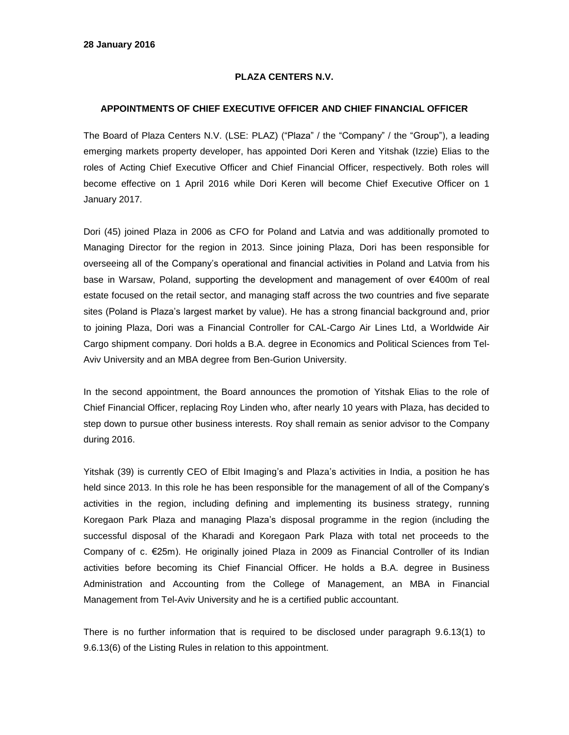## **PLAZA CENTERS N.V.**

## **APPOINTMENTS OF CHIEF EXECUTIVE OFFICER AND CHIEF FINANCIAL OFFICER**

The Board of Plaza Centers N.V. (LSE: PLAZ) ("Plaza" / the "Company" / the "Group"), a leading emerging markets property developer, has appointed Dori Keren and Yitshak (Izzie) Elias to the roles of Acting Chief Executive Officer and Chief Financial Officer, respectively. Both roles will become effective on 1 April 2016 while Dori Keren will become Chief Executive Officer on 1 January 2017.

Dori (45) joined Plaza in 2006 as CFO for Poland and Latvia and was additionally promoted to Managing Director for the region in 2013. Since joining Plaza, Dori has been responsible for overseeing all of the Company's operational and financial activities in Poland and Latvia from his base in Warsaw, Poland, supporting the development and management of over €400m of real estate focused on the retail sector, and managing staff across the two countries and five separate sites (Poland is Plaza's largest market by value). He has a strong financial background and, prior to joining Plaza, Dori was a Financial Controller for CAL-Cargo Air Lines Ltd, a Worldwide Air Cargo shipment company. Dori holds a B.A. degree in Economics and Political Sciences from Tel-Aviv University and an MBA degree from Ben-Gurion University.

In the second appointment, the Board announces the promotion of Yitshak Elias to the role of Chief Financial Officer, replacing Roy Linden who, after nearly 10 years with Plaza, has decided to step down to pursue other business interests. Roy shall remain as senior advisor to the Company during 2016.

Yitshak (39) is currently CEO of Elbit Imaging's and Plaza's activities in India, a position he has held since 2013. In this role he has been responsible for the management of all of the Company's activities in the region, including defining and implementing its business strategy, running Koregaon Park Plaza and managing Plaza's disposal programme in the region (including the successful disposal of the Kharadi and Koregaon Park Plaza with total net proceeds to the Company of c. €25m). He originally joined Plaza in 2009 as Financial Controller of its Indian activities before becoming its Chief Financial Officer. He holds a B.A. degree in Business Administration and Accounting from the College of Management, an MBA in Financial Management from Tel-Aviv University and he is a certified public accountant.

There is no further information that is required to be disclosed under paragraph 9.6.13(1) to 9.6.13(6) of the Listing Rules in relation to this appointment.